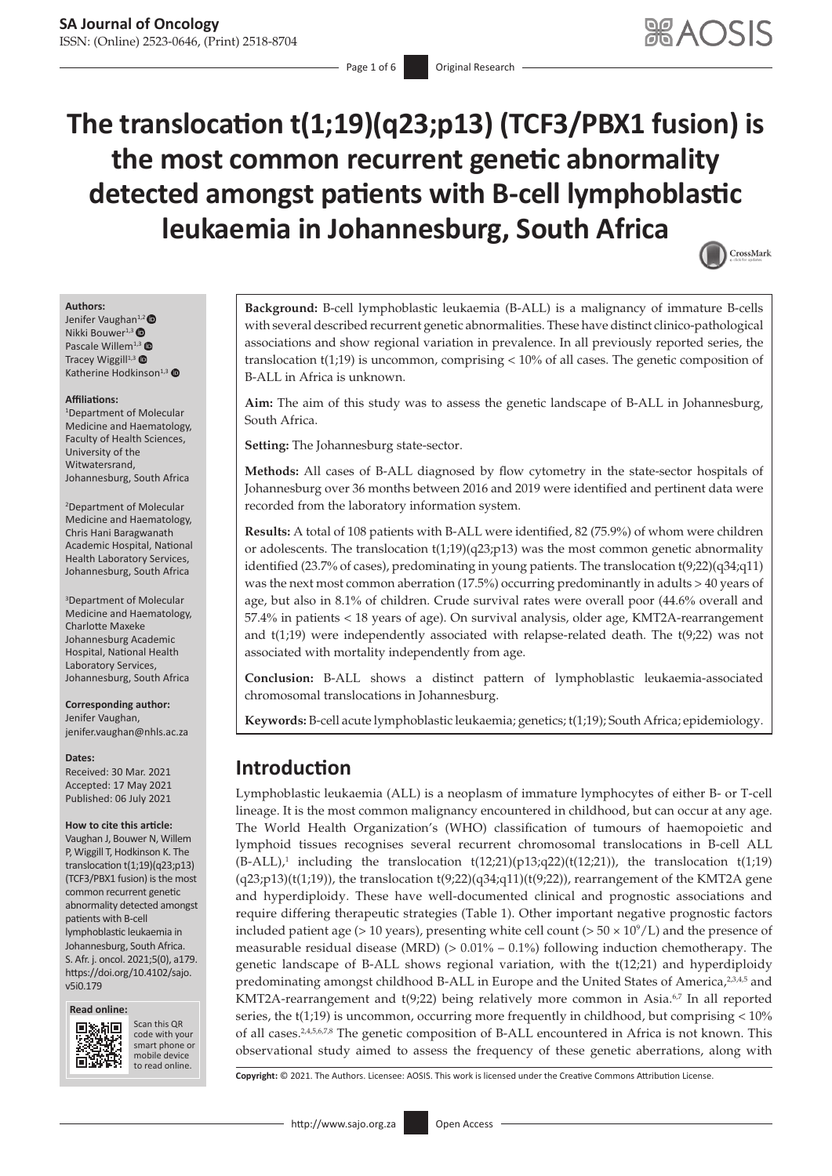# **The translocation t(1;19)(q23;p13) (TCF3/PBX1 fusion) is the most common recurrent genetic abnormality detected amongst patients with B-cell lymphoblastic leukaemia in Johannesburg, South Africa**

<span id="page-0-4"></span><span id="page-0-2"></span>

#### **Authors:**

Je[n](https://orcid.org/0000-0003-4603-3222)ifer Vaughan<sup>1,2</sup> Nikki Bouwer<sup>1,3</sup> Pascale Willem<sup>1,[3](https://orcid.org/0000-0001-7778-3427)</sup> Tracey Wiggill $1,3$   $\bullet$ Katherine Hodkinson $1,3$  $1,3$   $\bullet$ 

#### **Affiliations:**

1 Department of Molecular Medicine and Haematology, Faculty of Health Sciences, University of the Witwatersrand, Johannesburg, South Africa

2 Department of Molecular Medicine and Haematology, Chris Hani Baragwanath Academic Hospital, National Health Laboratory Services, Johannesburg, South Africa

3 Department of Molecular Medicine and Haematology, Charlotte Maxeke Johannesburg Academic Hospital, National Health Laboratory Services, Johannesburg, South Africa

#### **Corresponding author:** Jenifer Vaughan, [jenifer.vaughan@nhls.ac.za](mailto:jenifer.vaughan@nhls.ac.za)

**Dates:**

Received: 30 Mar. 2021 Accepted: 17 May 2021 Published: 06 July 2021

#### **How to cite this article:**

Vaughan J, Bouwer N, Willem P, Wiggill T, Hodkinson K. The translocation t(1;19)(q23;p13) (TCF3/PBX1 fusion) is the most common recurrent genetic abnormality detected amongst patients with B-cell lymphoblastic leukaemia in Johannesburg, South Africa. S. Afr. j. oncol. 2021;5(0), a179. [https://doi.org/10.4102/sajo.](https://doi.org/10.4102/sajo.v5i0.179) [v5i0.179](https://doi.org/10.4102/sajo.v5i0.179)





Scan this QR Scan this QR code with your smart phone or code with your smart phone or mobile device mobile to read online. to read online.

**Background:** B-cell lymphoblastic leukaemia (B-ALL) is a malignancy of immature B-cells with several described recurrent genetic abnormalities. These have distinct clinico-pathological associations and show regional variation in prevalence. In all previously reported series, the translocation t(1;19) is uncommon, comprising < 10% of all cases. The genetic composition of B-ALL in Africa is unknown.

**Aim:** The aim of this study was to assess the genetic landscape of B-ALL in Johannesburg, South Africa.

**Setting:** The Johannesburg state-sector.

**Methods:** All cases of B-ALL diagnosed by flow cytometry in the state-sector hospitals of Johannesburg over 36 months between 2016 and 2019 were identified and pertinent data were recorded from the laboratory information system.

**Results:** A total of 108 patients with B-ALL were identified, 82 (75.9%) of whom were children or adolescents. The translocation  $t(1;19)(q23;p13)$  was the most common genetic abnormality identified (23.7% of cases), predominating in young patients. The translocation t(9;22)(q34;q11) was the next most common aberration (17.5%) occurring predominantly in adults > 40 years of age, but also in 8.1% of children. Crude survival rates were overall poor (44.6% overall and 57.4% in patients < 18 years of age). On survival analysis, older age, KMT2A-rearrangement and t(1;19) were independently associated with relapse-related death. The t(9;22) was not associated with mortality independently from age.

**Conclusion:** B-ALL shows a distinct pattern of lymphoblastic leukaemia-associated chromosomal translocations in Johannesburg.

**Keywords:** B-cell acute lymphoblastic leukaemia; genetics; t(1;19); South Africa; epidemiology.

# **Introduction**

<span id="page-0-6"></span><span id="page-0-0"></span>Lymphoblastic leukaemia (ALL) is a neoplasm of immature lymphocytes of either B- or T-cell lineage. It is the most common malignancy encountered in childhood, but can occur at any age. The World Health Organization's (WHO) classification of tumours of haemopoietic and lymphoid tissues recognises several recurrent chromosomal translocations in B-cell ALL  $(B-\text{ALL})$ ,<sup>1</sup> including the translocation  $t(12;21)(p13;q22)(t(12;21))$ , the translocation  $t(1;19)$  $(q23;p13)(t(1;19))$ , the translocation t $(9;22)(q34;q11)(t(9;22))$ , rearrangement of the KMT2A gene and hyperdiploidy. These have well-documented clinical and prognostic associations and require differing therapeutic strategies (Table 1). Other important negative prognostic factors included patient age ( $> 10$  years), presenting white cell count ( $> 50 \times 10^9$ /L) and the presence of measurable residual disease (MRD) ( $> 0.01\% - 0.1\%$ ) following induction chemotherapy. The genetic landscape of B-ALL shows regional variation, with the t(12;21) and hyperdiploidy predominating amongst childhood B-ALL in Europe and the United States of America,<sup>23[,4](#page-5-4)[,5](#page-5-5)</sup> and KMT2A-rearrangement and  $t(9;22)$  being relatively more common in Asia.<sup>67</sup> In all reported series, the t(1;19) is uncommon, occurring more frequently in childhood, but comprising < 10% of all cases.<sup>[2](#page-5-2),[4](#page-5-4),[5](#page-5-5),[6](#page-5-6),[7](#page-5-7),[8](#page-5-8)</sup> The genetic composition of B-ALL encountered in Africa is not known. This observational study aimed to assess the frequency of these genetic aberrations, along with

<span id="page-0-5"></span><span id="page-0-3"></span><span id="page-0-1"></span>**Copyright:** © 2021. The Authors. Licensee: AOSIS. This work is licensed under the Creative Commons Attribution License.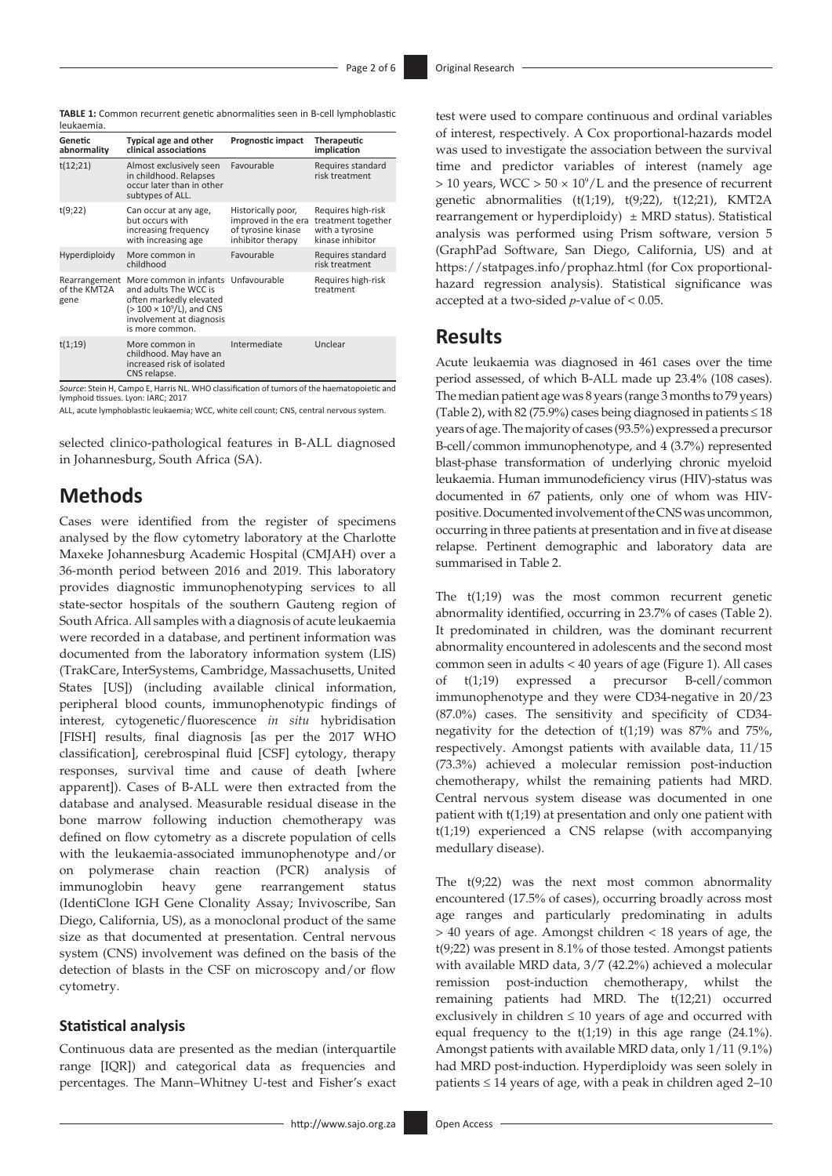**TABLE 1:** Common recurrent genetic abnormalities seen in B-cell lymphoblastic leukaemia.

| 169119611119                          |                                                                                                                                                                            |                                                                                      |                                                                                 |
|---------------------------------------|----------------------------------------------------------------------------------------------------------------------------------------------------------------------------|--------------------------------------------------------------------------------------|---------------------------------------------------------------------------------|
| Genetic<br>abnormality                | <b>Typical age and other</b><br>clinical associations                                                                                                                      | Prognostic impact                                                                    | Therapeutic<br>implication                                                      |
| t(12;21)                              | Almost exclusively seen<br>in childhood. Relapses<br>occur later than in other<br>subtypes of ALL.                                                                         | Favourable                                                                           | Requires standard<br>risk treatment                                             |
| t(9;22)                               | Can occur at any age,<br>but occurs with<br>increasing frequency<br>with increasing age                                                                                    | Historically poor,<br>improved in the era<br>of tyrosine kinase<br>inhibitor therapy | Requires high-risk<br>treatment together<br>with a tyrosine<br>kinase inhibitor |
| Hyperdiploidy                         | More common in<br>childhood                                                                                                                                                | Favourable                                                                           | Requires standard<br>risk treatment                                             |
| Rearrangement<br>of the KMT2A<br>gene | More common in infants Unfavourable<br>and adults The WCC is<br>often markedly elevated<br>$(>100 \times 10^9/L)$ , and CNS<br>involvement at diagnosis<br>is more common. |                                                                                      | Requires high-risk<br>treatment                                                 |
| t(1;19)                               | More common in<br>childhood. May have an<br>increased risk of isolated<br>CNS relapse.                                                                                     | Intermediate                                                                         | Unclear                                                                         |

*Source*: Stein H, Campo E, Harris NL. WHO classification of tumors of the haematopoietic and lymphoid tissues. Lyon: IARC; 2017

ALL, acute lymphoblastic leukaemia; WCC, white cell count; CNS, central nervous system.

selected clinico-pathological features in B-ALL diagnosed in Johannesburg, South Africa (SA).

# **Methods**

Cases were identified from the register of specimens analysed by the flow cytometry laboratory at the Charlotte Maxeke Johannesburg Academic Hospital (CMJAH) over a 36-month period between 2016 and 2019. This laboratory provides diagnostic immunophenotyping services to all state-sector hospitals of the southern Gauteng region of South Africa. All samples with a diagnosis of acute leukaemia were recorded in a database, and pertinent information was documented from the laboratory information system (LIS) (TrakCare, InterSystems, Cambridge, Massachusetts, United States [US]) (including available clinical information, peripheral blood counts, immunophenotypic findings of interest, cytogenetic/fluorescence *in situ* hybridisation [FISH] results, final diagnosis [as per the 2017 WHO classification], cerebrospinal fluid [CSF] cytology, therapy responses, survival time and cause of death [where apparent]). Cases of B-ALL were then extracted from the database and analysed. Measurable residual disease in the bone marrow following induction chemotherapy was defined on flow cytometry as a discrete population of cells with the leukaemia-associated immunophenotype and/or on polymerase chain reaction (PCR) analysis of immunoglobin heavy gene rearrangement status (IdentiClone IGH Gene Clonality Assay; Invivoscribe, San Diego, California, US), as a monoclonal product of the same size as that documented at presentation. Central nervous system (CNS) involvement was defined on the basis of the detection of blasts in the CSF on microscopy and/or flow cytometry.

### **Statistical analysis**

Continuous data are presented as the median (interquartile range [IQR]) and categorical data as frequencies and percentages. The Mann–Whitney U-test and Fisher's exact

test were used to compare continuous and ordinal variables of interest, respectively. A Cox proportional-hazards model was used to investigate the association between the survival time and predictor variables of interest (namely age  $> 10$  years, WCC  $> 50 \times 10^9$  $> 50 \times 10^9$ /L and the presence of recurrent genetic abnormalities (t(1;19), t(9;22), t(12;21), KMT2A rearrangement or hyperdiploidy)  $\pm$  MRD status). Statistical analysis was performed using Prism software, version 5 (GraphPad Software, San Diego, California, US) and at <https://statpages.info/prophaz.html>(for Cox proportionalhazard regression analysis). Statistical significance was accepted at a two-sided *p*-value of < 0.05.

# **Results**

Acute leukaemia was diagnosed in 461 cases over the time period assessed, of which B-ALL made up 23.4% (108 cases). The median patient age was 8 years (range 3 months to 79 years) (Table 2), with 82 (75.9%) cases being diagnosed in patients  $\leq$  18 years of age. The majority of cases (93.5%) expressed a precursor B-cell/common immunophenotype, and 4 (3.7%) represented blast-phase transformation of underlying chronic myeloid leukaemia. Human immunodeficiency virus (HIV)-status was documented in 67 patients, only one of whom was HIVpositive. Documented involvement of the CNS was uncommon, occurring in three patients at presentation and in five at disease relapse. Pertinent demographic and laboratory data are summarised in Table 2.

The t(1;19) was the most common recurrent genetic abnormality identified, occurring in 23.7% of cases (Table 2). It predominated in children, was the dominant recurrent abnormality encountered in adolescents and the second most common seen in adults < 40 years of age (Figure 1). All cases of t(1;19) expressed a precursor B-cell/common immunophenotype and they were CD34-negative in 20/23 (87.0%) cases. The sensitivity and specificity of CD34 negativity for the detection of  $t(1;19)$  was 87% and 75%, respectively. Amongst patients with available data, 11/15 (73.3%) achieved a molecular remission post-induction chemotherapy, whilst the remaining patients had MRD. Central nervous system disease was documented in one patient with t(1;19) at presentation and only one patient with t(1;19) experienced a CNS relapse (with accompanying medullary disease).

The t(9;22) was the next most common abnormality encountered (17.5% of cases), occurring broadly across most age ranges and particularly predominating in adults > 40 years of age. Amongst children < 18 years of age, the t(9;22) was present in 8.1% of those tested. Amongst patients with available MRD data, 3/7 (42.2%) achieved a molecular remission post-induction chemotherapy, whilst the remaining patients had MRD. The t(12;21) occurred exclusively in children ≤ 10 years of age and occurred with equal frequency to the  $t(1;19)$  in this age range (24.1%). Amongst patients with available MRD data, only 1/11 (9.1%) had MRD post-induction. Hyperdiploidy was seen solely in patients  $\leq 14$  years of age, with a peak in children aged 2–10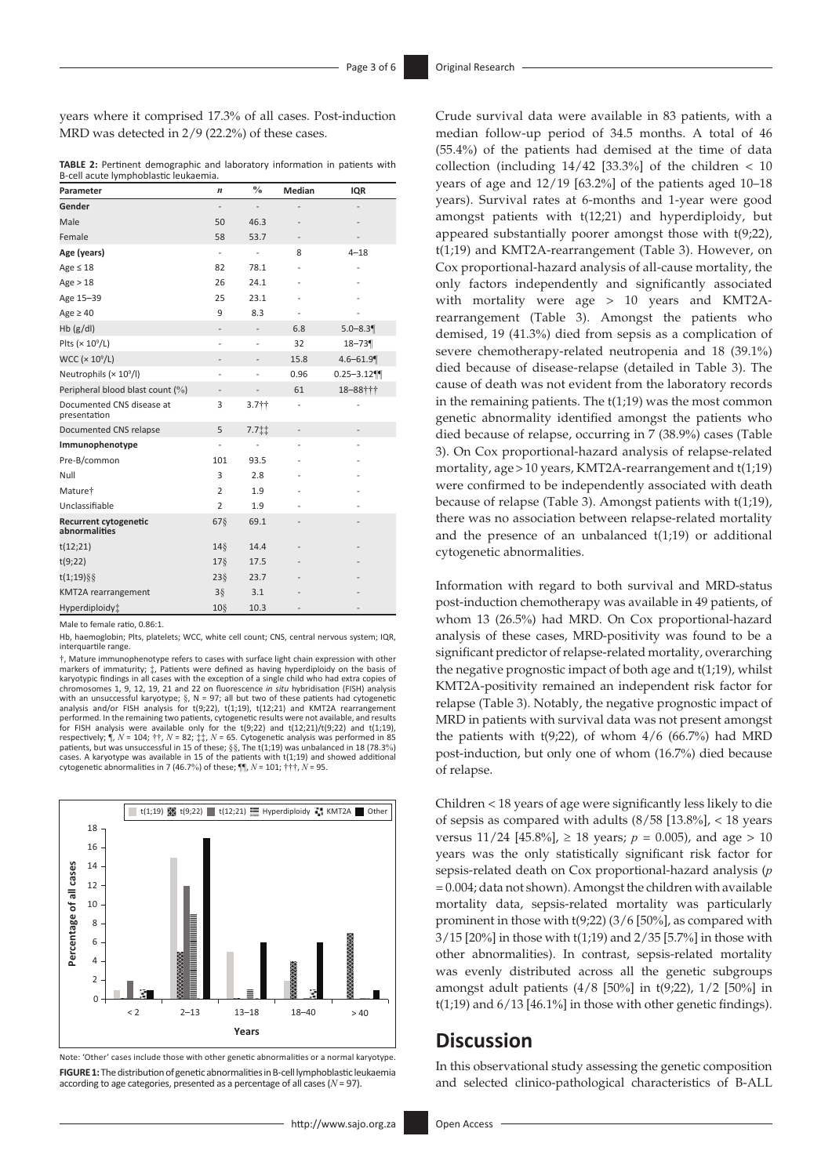years where it comprised 17.3% of all cases. Post-induction MRD was detected in 2/9 (22.2%) of these cases.

**TABLE 2:** Pertinent demographic and laboratory information in patients with B-cell acute lymphoblastic leukaemia.

| Parameter                                     | n                        | $\frac{0}{0}$                | Median         | IQR           |
|-----------------------------------------------|--------------------------|------------------------------|----------------|---------------|
| Gender                                        | $\overline{a}$           | $\overline{a}$               |                |               |
| Male                                          | 50                       | 46.3                         |                |               |
| Female                                        | 58                       | 53.7                         |                |               |
| Age (years)                                   | $\overline{\phantom{a}}$ | $\overline{\phantom{0}}$     | 8              | $4 - 18$      |
| Age $\leq 18$                                 | 82                       | 78.1                         |                |               |
| Age > 18                                      | 26                       | 24.1                         |                |               |
| Age 15-39                                     | 25                       | 23.1                         |                |               |
| Age $\geq 40$                                 | 9                        | 8.3                          | $\overline{a}$ |               |
| Hb(g/dl)                                      | $\overline{\phantom{a}}$ | $\qquad \qquad \blacksquare$ | 6.8            | $5.0 - 8.3$   |
| Plts ( $\times$ 10 $^{\circ}$ /L)             |                          | $\overline{\phantom{0}}$     | 32             | $18 - 73$     |
| WCC $(x 10^9/L)$                              |                          | $\overline{\phantom{0}}$     | 15.8           | $4.6 - 61.9$  |
| Neutrophils (× 10 <sup>9</sup> /l)            | -                        | $\overline{\phantom{0}}$     | 0.96           | $0.25 - 3.12$ |
| Peripheral blood blast count (%)              |                          |                              | 61             | 18-88†††      |
| Documented CNS disease at<br>presentation     | 3                        | 3.7 <sup>†</sup>             | $\overline{a}$ |               |
| Documented CNS relapse                        | 5                        | 7.711                        |                |               |
| Immunophenotype                               | $\overline{a}$           | $\overline{\phantom{0}}$     |                |               |
| Pre-B/common                                  | 101                      | 93.5                         |                |               |
| Null                                          | 3                        | 2.8                          |                |               |
| Mature†                                       | $\overline{2}$           | 1.9                          |                |               |
| Unclassifiable                                | $\overline{2}$           | 1.9                          |                |               |
| <b>Recurrent cytogenetic</b><br>abnormalities | 678                      | 69.1                         |                |               |
| t(12;21)                                      | 148                      | 14.4                         |                |               |
| t(9;22)                                       | $17\$                    | 17.5                         |                |               |
| $t(1,19)$ §§                                  | $23\%$                   | 23.7                         |                |               |
| KMT2A rearrangement                           | $3\bar{\S}$              | 3.1                          |                |               |
| Hyperdiploidy:                                | 10 <sub>9</sub>          | 10.3                         |                |               |

Male to female ratio, 0.86:1.

Hb, haemoglobin; Plts, platelets; WCC, white cell count; CNS, central nervous system; IQR, interquartile range.

†, Mature immunophenotype refers to cases with surface light chain expression with other markers of immaturity; ‡, Patients were defined as having hyperdiploidy on the basis of karyotypic findings in all cases with the exception of a single child who had extra copies of chromosomes 1, 9, 12, 19, 21 and 22 on fluorescence *in situ* hybridisation (FISH) analysis<br>with an unsuccessful karyotype; §, N = 97; all but two of these patients had cytogenetic<br>analysis and/or FISH analysis for t(9;22) performed. In the remaining two patients, cytogenetic results were not available, and results for FISH analysis were available only for the t(9;22) and t(12;21)/t(9;22) and t(1;19), respectively; ¶, *N* = 104; ††, *N* = 82; ‡‡, *N* = 65. Cytogenetic analysis was performed in 85 patients, but was unsuccessful in 15 of these; §§, The t(1;19) was unbalanced in 18 (78.3%) cases. A karyotype was available in 15 of the patients with t(1;19) and showed additional cytogenetic abnormalities in 7 (46.7%) of these; ¶¶, *N* = 101; †††, *N* = 95.



Note: 'Other' cases include those with other genetic abnormalities or a normal karyotype. **FIGURE 1:** The distribution of genetic abnormalities in B-cell lymphoblastic leukaemia according to age categories, presented as a percentage of all cases (*N* = 97).

Crude survival data were available in 83 patients, with a median follow-up period of 34.5 months. A total of 46 (55.4%) of the patients had demised at the time of data collection (including  $14/42$  [33.3%] of the children < 10 years of age and 12/19 [63.2%] of the patients aged 10–18 years). Survival rates at 6-months and 1-year were good amongst patients with t(12;21) and hyperdiploidy, but appeared substantially poorer amongst those with t(9;22), t(1;19) and KMT2A-rearrangement (Table 3). However, on Cox proportional-hazard analysis of all-cause mortality, the only factors independently and significantly associated with mortality were age > 10 years and KMT2Arearrangement (Table 3). Amongst the patients who demised, 19 (41.3%) died from sepsis as a complication of severe chemotherapy-related neutropenia and 18 (39.1%) died because of disease-relapse (detailed in Table 3). The cause of death was not evident from the laboratory records in the remaining patients. The t(1;19) was the most common genetic abnormality identified amongst the patients who died because of relapse, occurring in 7 (38.9%) cases (Table 3). On Cox proportional-hazard analysis of relapse-related mortality, age>10 years, KMT2A-rearrangement and t(1;19) were confirmed to be independently associated with death because of relapse (Table 3). Amongst patients with t(1;19), there was no association between relapse-related mortality and the presence of an unbalanced  $t(1;19)$  or additional cytogenetic abnormalities.

Information with regard to both survival and MRD-status post-induction chemotherapy was available in 49 patients, of whom 13 (26.5%) had MRD. On Cox proportional-hazard analysis of these cases, MRD-positivity was found to be a significant predictor of relapse-related mortality, overarching the negative prognostic impact of both age and t(1;19), whilst KMT2A-positivity remained an independent risk factor for relapse (Table 3). Notably, the negative prognostic impact of MRD in patients with survival data was not present amongst the patients with  $t(9;22)$ , of whom  $4/6$  (66.7%) had MRD post-induction, but only one of whom (16.7%) died because of relapse.

Children < 18 years of age were significantly less likely to die of sepsis as compared with adults (8/58 [13.8%], < 18 years versus  $11/24$  [45.8%],  $\geq 18$  years;  $p = 0.005$ ), and age  $> 10$ years was the only statistically significant risk factor for sepsis-related death on Cox proportional-hazard analysis (*p* = 0.004; data not shown). Amongst the children with available mortality data, sepsis-related mortality was particularly prominent in those with t(9;22) (3/6 [50%], as compared with 3/15 [20%] in those with t(1;19) and 2/35 [5.7%] in those with other abnormalities). In contrast, sepsis-related mortality was evenly distributed across all the genetic subgroups amongst adult patients (4/8 [50%] in t(9;22), 1/2 [50%] in  $t(1;19)$  and  $6/13$  [46.1%] in those with other genetic findings).

## **Discussion**

In this observational study assessing the genetic composition and selected clinico-pathological characteristics of B-ALL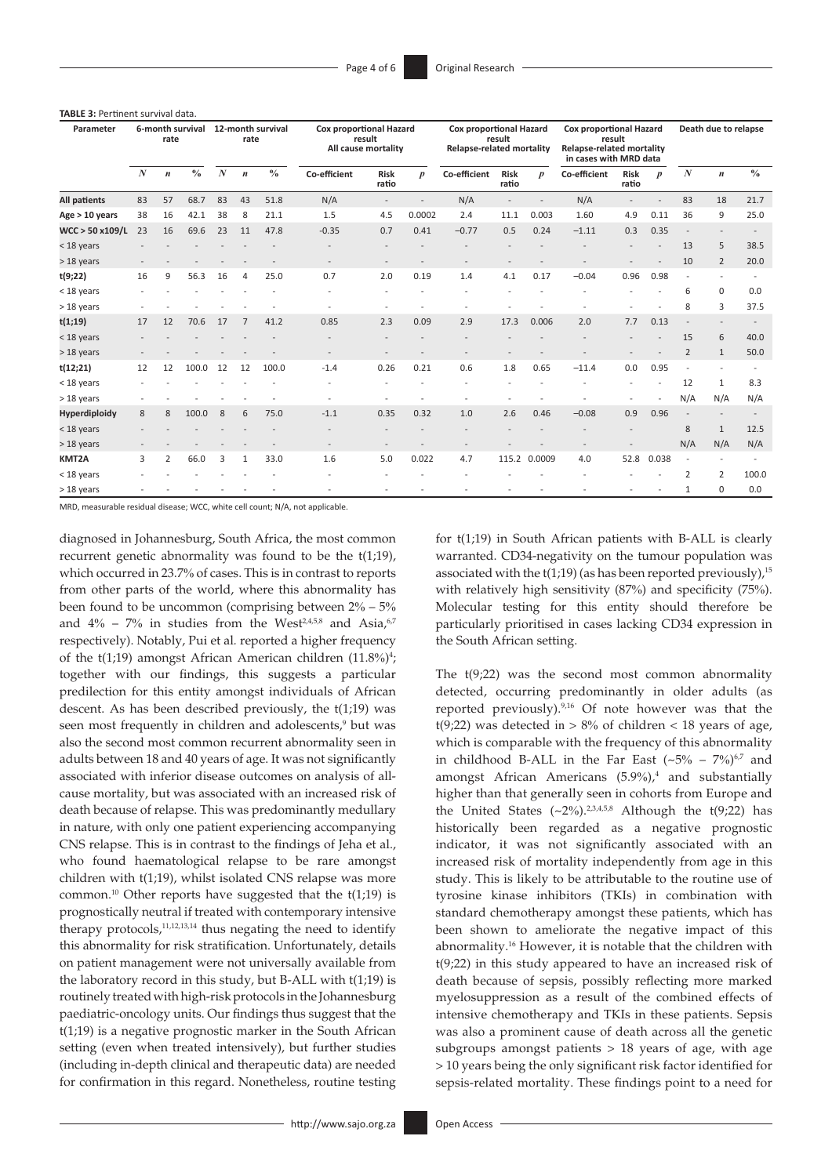**TABLE 3:** Pertinent survival data.

| Parameter           | 6-month survival<br>rate |                  |               | 12-month survival<br>rate |                  |               | <b>Cox proportional Hazard</b><br>result<br>All cause mortality |                          |                  | <b>Cox proportional Hazard</b><br>result<br><b>Relapse-related mortality</b> |                      |                  | Cox proportional Hazard<br>result<br>Relapse-related mortality<br>in cases with MRD data |                      |                  | Death due to relapse     |                  |               |
|---------------------|--------------------------|------------------|---------------|---------------------------|------------------|---------------|-----------------------------------------------------------------|--------------------------|------------------|------------------------------------------------------------------------------|----------------------|------------------|------------------------------------------------------------------------------------------|----------------------|------------------|--------------------------|------------------|---------------|
|                     | $\boldsymbol{N}$         | $\boldsymbol{n}$ | $\frac{0}{0}$ | $\boldsymbol{N}$          | $\boldsymbol{n}$ | $\frac{0}{0}$ | Co-efficient                                                    | <b>Risk</b><br>ratio     | $\boldsymbol{p}$ | Co-efficient                                                                 | <b>Risk</b><br>ratio | $\boldsymbol{p}$ | Co-efficient                                                                             | <b>Risk</b><br>ratio | $\boldsymbol{p}$ | $\boldsymbol{N}$         | $\boldsymbol{n}$ | $\frac{0}{0}$ |
| <b>All patients</b> | 83                       | 57               | 68.7          | 83                        | 43               | 51.8          | N/A                                                             | $\overline{\phantom{a}}$ |                  | N/A                                                                          |                      |                  | N/A                                                                                      |                      |                  | 83                       | 18               | 21.7          |
| Age > 10 years      | 38                       | 16               | 42.1          | 38                        | 8                | 21.1          | 1.5                                                             | 4.5                      | 0.0002           | 2.4                                                                          | 11.1                 | 0.003            | 1.60                                                                                     | 4.9                  | 0.11             | 36                       | 9                | 25.0          |
| WCC > 50 x109/L     | 23                       | 16               | 69.6          | 23                        | 11               | 47.8          | $-0.35$                                                         | 0.7                      | 0.41             | $-0.77$                                                                      | 0.5                  | 0.24             | $-1.11$                                                                                  | 0.3                  | 0.35             | $\overline{\phantom{a}}$ |                  |               |
| < 18 years          |                          |                  |               |                           |                  |               |                                                                 |                          |                  |                                                                              |                      |                  |                                                                                          |                      |                  | 13                       | 5                | 38.5          |
| > 18 years          |                          |                  |               |                           |                  |               |                                                                 |                          |                  |                                                                              |                      |                  |                                                                                          |                      |                  | 10                       | $\overline{2}$   | 20.0          |
| t(9;22)             | 16                       | 9                | 56.3          | 16                        | $\overline{4}$   | 25.0          | 0.7                                                             | 2.0                      | 0.19             | 1.4                                                                          | 4.1                  | 0.17             | $-0.04$                                                                                  | 0.96                 | 0.98             | $\overline{\phantom{a}}$ |                  |               |
| < 18 years          |                          |                  |               |                           |                  |               |                                                                 |                          |                  |                                                                              |                      |                  |                                                                                          |                      |                  | 6                        | 0                | 0.0           |
| $>18$ years         |                          |                  |               |                           |                  |               |                                                                 |                          |                  |                                                                              |                      |                  |                                                                                          |                      |                  | 8                        | 3                | 37.5          |
| t(1;19)             | 17                       | 12               | 70.6          | 17                        | 7                | 41.2          | 0.85                                                            | 2.3                      | 0.09             | 2.9                                                                          | 17.3                 | 0.006            | 2.0                                                                                      | 7.7                  | 0.13             |                          |                  |               |
| < 18 years          |                          |                  |               |                           |                  |               |                                                                 |                          |                  |                                                                              |                      |                  |                                                                                          |                      |                  | 15                       | 6                | 40.0          |
| > 18 years          |                          |                  |               |                           |                  |               |                                                                 |                          |                  |                                                                              |                      |                  |                                                                                          |                      |                  | 2                        | $\mathbf{1}$     | 50.0          |
| t(12;21)            | 12                       | 12               | 100.0         | 12                        | 12               | 100.0         | $-1.4$                                                          | 0.26                     | 0.21             | 0.6                                                                          | 1.8                  | 0.65             | $-11.4$                                                                                  | 0.0                  | 0.95             | $\sim$                   |                  |               |
| < 18 years          |                          |                  |               |                           |                  |               |                                                                 |                          |                  |                                                                              |                      |                  |                                                                                          |                      |                  | 12                       | $\mathbf{1}$     | 8.3           |
| $>18$ years         |                          |                  |               |                           |                  |               |                                                                 |                          |                  |                                                                              |                      |                  |                                                                                          |                      |                  | N/A                      | N/A              | N/A           |
| Hyperdiploidy       | 8                        | 8                | 100.0         | 8                         | 6                | 75.0          | $-1.1$                                                          | 0.35                     | 0.32             | 1.0                                                                          | 2.6                  | 0.46             | $-0.08$                                                                                  | 0.9                  | 0.96             |                          |                  |               |
| < 18 years          |                          |                  |               |                           |                  |               |                                                                 |                          |                  |                                                                              |                      |                  |                                                                                          |                      |                  | 8                        | $\mathbf{1}$     | 12.5          |
| > 18 years          |                          |                  |               |                           |                  |               |                                                                 |                          |                  |                                                                              |                      |                  |                                                                                          |                      |                  | N/A                      | N/A              | N/A           |
| KMT2A               | 3                        | $\overline{2}$   | 66.0          | 3                         | $\mathbf{1}$     | 33.0          | 1.6                                                             | 5.0                      | 0.022            | 4.7                                                                          | 115.2                | 0.0009           | 4.0                                                                                      | 52.8                 | 0.038            | $\overline{\phantom{a}}$ |                  |               |
| $<$ 18 years        |                          |                  |               |                           |                  |               |                                                                 |                          |                  |                                                                              |                      |                  |                                                                                          |                      |                  | $\overline{2}$           | 2                | 100.0         |
| $>18$ years         |                          |                  |               |                           |                  |               |                                                                 |                          |                  |                                                                              |                      |                  |                                                                                          |                      |                  | $\mathbf{1}$             | $\Omega$         | 0.0           |

MRD, measurable residual disease; WCC, white cell count; N/A, not applicable.

<span id="page-3-1"></span><span id="page-3-0"></span>diagnosed in Johannesburg, South Africa, the most common recurrent genetic abnormality was found to be the t(1;19), which occurred in 23.7% of cases. This is in contrast to reports from other parts of the world, where this abnormality has been found to be uncommon (comprising between 2% – 5% and  $4\%$  – 7% in studies from the West<sup>[2](#page-5-2)[,4](#page-5-4)[,5](#page-5-5)[,8](#page-5-8)</sup> and Asia,<sup>[6,](#page-5-6)[7](#page-5-7)</sup> respectively). Notably, Pui et al*.* reported a higher frequency of the t(1;19) amongst African American children (11.8%) [4](#page-5-4) ; together with our findings, this suggests a particular predilection for this entity amongst individuals of African descent. As has been described previously, the t(1;19) was seen most frequently in children and adolescents,<sup>9</sup> but was also the second most common recurrent abnormality seen in adults between 18 and 40 years of age. It was not significantly associated with inferior disease outcomes on analysis of allcause mortality, but was associated with an increased risk of death because of relapse. This was predominantly medullary in nature, with only one patient experiencing accompanying CNS relapse. This is in contrast to the findings of Jeha et al., who found haematological relapse to be rare amongst children with t(1;19), whilst isolated CNS relapse was more common.[10](#page-5-9) Other reports have suggested that the t(1;19) is prognostically neutral if treated with contemporary intensive therapy protocols, $11,12,13,14$  $11,12,13,14$  $11,12,13,14$  $11,12,13,14$  thus negating the need to identify this abnormality for risk stratification. Unfortunately, details on patient management were not universally available from the laboratory record in this study, but B-ALL with t(1;19) is routinely treated with high-risk protocols in the Johannesburg paediatric-oncology units. Our findings thus suggest that the t(1;19) is a negative prognostic marker in the South African setting (even when treated intensively), but further studies (including in-depth clinical and therapeutic data) are needed for confirmation in this regard. Nonetheless, routine testing

<span id="page-3-3"></span>for t(1;19) in South African patients with B-ALL is clearly warranted. CD34-negativity on the tumour population was associated with the  $t(1;19)$  (as has been reported previously),<sup>[15](#page-5-14)</sup> with relatively high sensitivity (87%) and specificity (75%). Molecular testing for this entity should therefore be particularly prioritised in cases lacking CD34 expression in the South African setting.

<span id="page-3-4"></span><span id="page-3-2"></span>The  $t(9;22)$  was the second most common abnormality detected, occurring predominantly in older adults (as reported previously).[9](#page-5-1),[16](#page-5-15) Of note however was that the t(9;22) was detected in  $> 8\%$  of children < 18 years of age, which is comparable with the frequency of this abnormality in childhood B-ALL in the Far East  $({\sim}5\% - 7\%)^{6,7}$  $({\sim}5\% - 7\%)^{6,7}$  $({\sim}5\% - 7\%)^{6,7}$  $({\sim}5\% - 7\%)^{6,7}$  $({\sim}5\% - 7\%)^{6,7}$  and amongst African Americans  $(5.9\%)$ ,<sup>[4](#page-5-4)</sup> and substantially higher than that generally seen in cohorts from Europe and the United States  $({\sim}2\%)$ .  $2,3,4,5,8$  $2,3,4,5,8$  $2,3,4,5,8$  $2,3,4,5,8$  $2,3,4,5,8$  Although the t(9;22) has historically been regarded as a negative prognostic indicator, it was not significantly associated with an increased risk of mortality independently from age in this study. This is likely to be attributable to the routine use of tyrosine kinase inhibitors (TKIs) in combination with standard chemotherapy amongst these patients, which has been shown to ameliorate the negative impact of this abnormality.[16](#page-5-15) However, it is notable that the children with t(9;22) in this study appeared to have an increased risk of death because of sepsis, possibly reflecting more marked myelosuppression as a result of the combined effects of intensive chemotherapy and TKIs in these patients. Sepsis was also a prominent cause of death across all the genetic subgroups amongst patients  $> 18$  years of age, with age > 10 years being the only significant risk factor identified for sepsis-related mortality. These findings point to a need for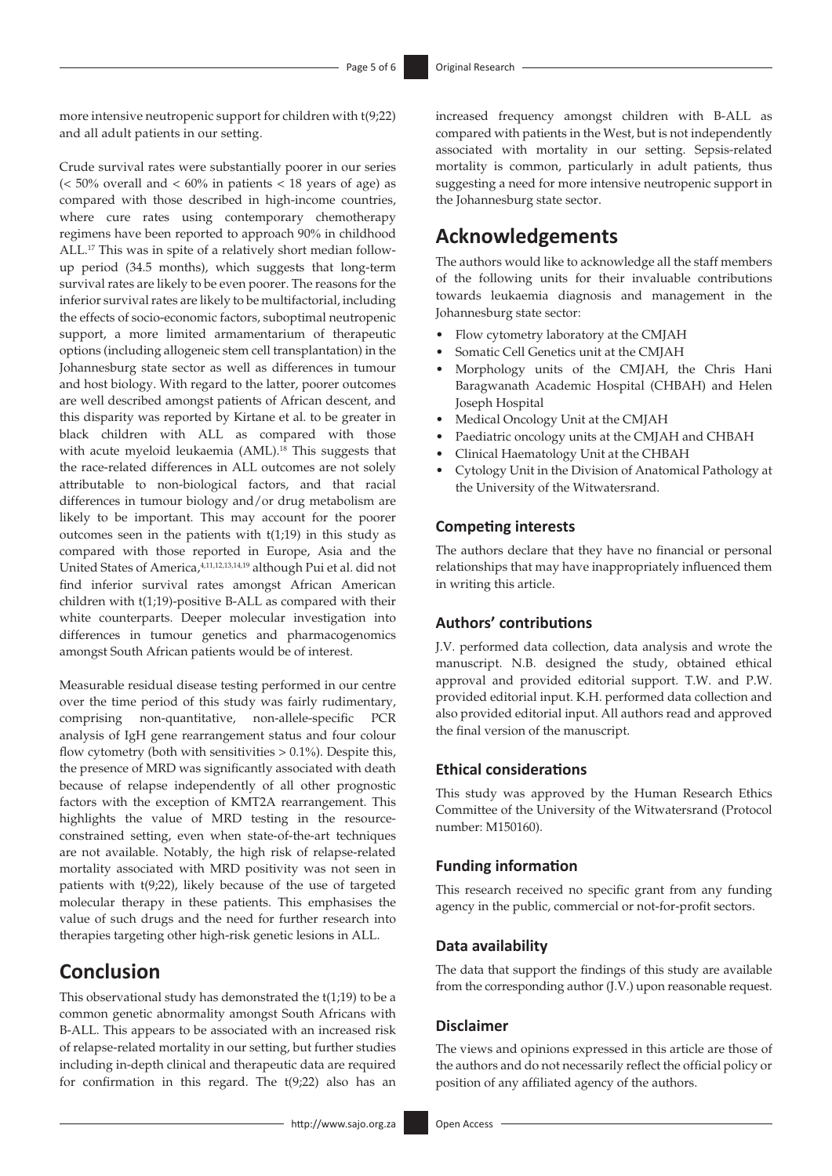more intensive neutropenic support for children with t(9;22) and all adult patients in our setting.

<span id="page-4-0"></span>Crude survival rates were substantially poorer in our series  $(< 50\%$  overall and  $< 60\%$  in patients  $< 18$  years of age) as compared with those described in high-income countries, where cure rates using contemporary chemotherapy regimens have been reported to approach 90% in childhood ALL.[17](#page-5-16) This was in spite of a relatively short median followup period (34.5 months), which suggests that long-term survival rates are likely to be even poorer. The reasons for the inferior survival rates are likely to be multifactorial, including the effects of socio-economic factors, suboptimal neutropenic support, a more limited armamentarium of therapeutic options (including allogeneic stem cell transplantation) in the Johannesburg state sector as well as differences in tumour and host biology. With regard to the latter, poorer outcomes are well described amongst patients of African descent, and this disparity was reported by Kirtane et al. to be greater in black children with ALL as compared with those with acute myeloid leukaemia (AML).<sup>18</sup> This suggests that the race-related differences in ALL outcomes are not solely attributable to non-biological factors, and that racial differences in tumour biology and/or drug metabolism are likely to be important. This may account for the poorer outcomes seen in the patients with  $t(1;19)$  in this study as compared with those reported in Europe, Asia and the United States of America[,4](#page-5-4)[,11,](#page-5-10)[12](#page-5-11)[,13,](#page-5-12)[14](#page-5-13),[19](#page-5-18) although Pui et al. did not find inferior survival rates amongst African American children with t(1;19)-positive B-ALL as compared with their white counterparts. Deeper molecular investigation into differences in tumour genetics and pharmacogenomics amongst South African patients would be of interest.

<span id="page-4-1"></span>Measurable residual disease testing performed in our centre over the time period of this study was fairly rudimentary, comprising non-quantitative, non-allele-specific PCR analysis of IgH gene rearrangement status and four colour flow cytometry (both with sensitivities  $> 0.1\%$ ). Despite this, the presence of MRD was significantly associated with death because of relapse independently of all other prognostic factors with the exception of KMT2A rearrangement. This highlights the value of MRD testing in the resourceconstrained setting, even when state-of-the-art techniques are not available. Notably, the high risk of relapse-related mortality associated with MRD positivity was not seen in patients with t(9;22), likely because of the use of targeted molecular therapy in these patients. This emphasises the value of such drugs and the need for further research into therapies targeting other high-risk genetic lesions in ALL.

# **Conclusion**

This observational study has demonstrated the t(1;19) to be a common genetic abnormality amongst South Africans with B-ALL. This appears to be associated with an increased risk of relapse-related mortality in our setting, but further studies including in-depth clinical and therapeutic data are required for confirmation in this regard. The  $t(9;22)$  also has an

increased frequency amongst children with B-ALL as compared with patients in the West, but is not independently associated with mortality in our setting. Sepsis-related mortality is common, particularly in adult patients, thus suggesting a need for more intensive neutropenic support in the Johannesburg state sector.

# **Acknowledgements**

The authors would like to acknowledge all the staff members of the following units for their invaluable contributions towards leukaemia diagnosis and management in the Johannesburg state sector:

- Flow cytometry laboratory at the CMJAH
- Somatic Cell Genetics unit at the CMJAH
- Morphology units of the CMJAH, the Chris Hani Baragwanath Academic Hospital (CHBAH) and Helen Joseph Hospital
- Medical Oncology Unit at the CMJAH
- Paediatric oncology units at the CMJAH and CHBAH
- Clinical Haematology Unit at the CHBAH
- Cytology Unit in the Division of Anatomical Pathology at the University of the Witwatersrand.

### **Competing interests**

<span id="page-4-2"></span>The authors declare that they have no financial or personal relationships that may have inappropriately influenced them in writing this article.

#### **Authors' contributions**

J.V. performed data collection, data analysis and wrote the manuscript. N.B. designed the study, obtained ethical approval and provided editorial support. T.W. and P.W. provided editorial input. K.H. performed data collection and also provided editorial input. All authors read and approved the final version of the manuscript.

### **Ethical considerations**

This study was approved by the Human Research Ethics Committee of the University of the Witwatersrand (Protocol number: M150160).

### **Funding information**

This research received no specific grant from any funding agency in the public, commercial or not-for-profit sectors.

#### **Data availability**

The data that support the findings of this study are available from the corresponding author (J.V.) upon reasonable request.

#### **Disclaimer**

The views and opinions expressed in this article are those of the authors and do not necessarily reflect the official policy or position of any affiliated agency of the authors.